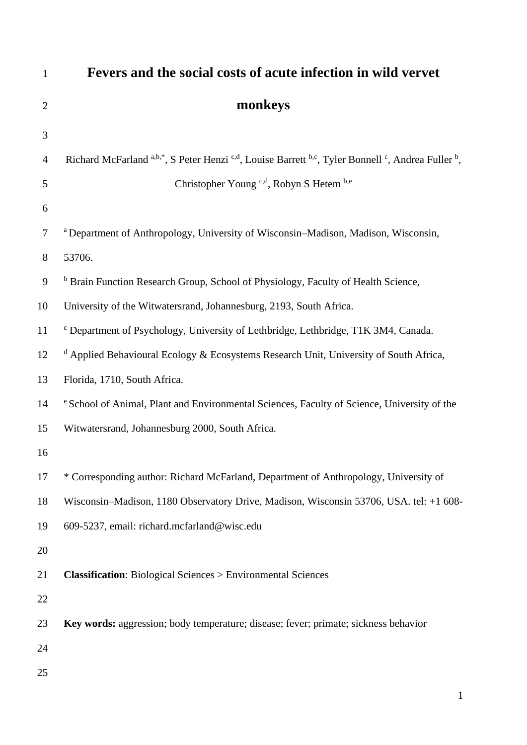| $\mathbf{1}$   | Fevers and the social costs of acute infection in wild vervet                                     |
|----------------|---------------------------------------------------------------------------------------------------|
| $\overline{2}$ | monkeys                                                                                           |
| 3              |                                                                                                   |
| $\overline{4}$ | Richard McFarland a,b,*, S Peter Henzi c,d, Louise Barrett b,c, Tyler Bonnell c, Andrea Fuller b, |
| 5              | Christopher Young <sup>c,d</sup> , Robyn S Hetem b,e                                              |
| 6              |                                                                                                   |
| 7              | <sup>a</sup> Department of Anthropology, University of Wisconsin–Madison, Madison, Wisconsin,     |
| 8              | 53706.                                                                                            |
| 9              | <sup>b</sup> Brain Function Research Group, School of Physiology, Faculty of Health Science,      |
| 10             | University of the Witwatersrand, Johannesburg, 2193, South Africa.                                |
| 11             | <sup>c</sup> Department of Psychology, University of Lethbridge, Lethbridge, T1K 3M4, Canada.     |
| 12             | <sup>d</sup> Applied Behavioural Ecology & Ecosystems Research Unit, University of South Africa,  |
| 13             | Florida, 1710, South Africa.                                                                      |
| 14             | e School of Animal, Plant and Environmental Sciences, Faculty of Science, University of the       |
| 15             | Witwatersrand, Johannesburg 2000, South Africa.                                                   |
| 16             |                                                                                                   |
| 17             | * Corresponding author: Richard McFarland, Department of Anthropology, University of              |
| 18             | Wisconsin-Madison, 1180 Observatory Drive, Madison, Wisconsin 53706, USA. tel: +1 608-            |
| 19             | 609-5237, email: richard.mcfarland@wisc.edu                                                       |
| 20             |                                                                                                   |
| 21             | <b>Classification:</b> Biological Sciences > Environmental Sciences                               |
| 22             |                                                                                                   |
| 23             | Key words: aggression; body temperature; disease; fever; primate; sickness behavior               |
| 24             |                                                                                                   |
| 25             |                                                                                                   |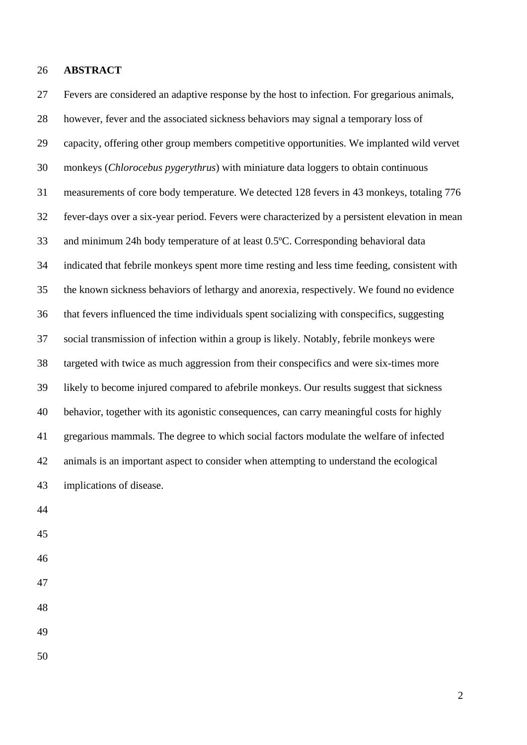### **ABSTRACT**

 Fevers are considered an adaptive response by the host to infection. For gregarious animals, however, fever and the associated sickness behaviors may signal a temporary loss of capacity, offering other group members competitive opportunities. We implanted wild vervet monkeys (*Chlorocebus pygerythrus*) with miniature data loggers to obtain continuous measurements of core body temperature. We detected 128 fevers in 43 monkeys, totaling 776 fever-days over a six-year period. Fevers were characterized by a persistent elevation in mean and minimum 24h body temperature of at least 0.5ºC. Corresponding behavioral data indicated that febrile monkeys spent more time resting and less time feeding, consistent with the known sickness behaviors of lethargy and anorexia, respectively. We found no evidence that fevers influenced the time individuals spent socializing with conspecifics, suggesting social transmission of infection within a group is likely. Notably, febrile monkeys were targeted with twice as much aggression from their conspecifics and were six-times more likely to become injured compared to afebrile monkeys. Our results suggest that sickness behavior, together with its agonistic consequences, can carry meaningful costs for highly gregarious mammals. The degree to which social factors modulate the welfare of infected animals is an important aspect to consider when attempting to understand the ecological implications of disease.

- 
- 
- 
- 
- 
-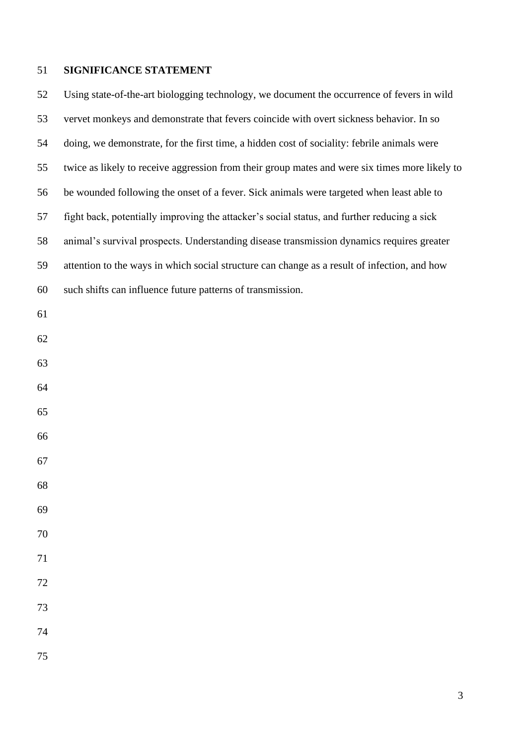# **SIGNIFICANCE STATEMENT**

 Using state-of-the-art biologging technology, we document the occurrence of fevers in wild vervet monkeys and demonstrate that fevers coincide with overt sickness behavior. In so doing, we demonstrate, for the first time, a hidden cost of sociality: febrile animals were twice as likely to receive aggression from their group mates and were six times more likely to be wounded following the onset of a fever. Sick animals were targeted when least able to fight back, potentially improving the attacker's social status, and further reducing a sick animal's survival prospects. Understanding disease transmission dynamics requires greater attention to the ways in which social structure can change as a result of infection, and how such shifts can influence future patterns of transmission.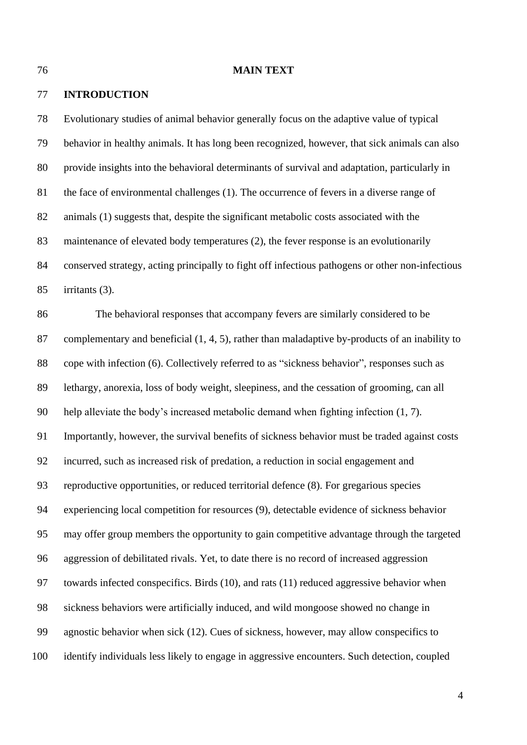#### **MAIN TEXT**

### **INTRODUCTION**

 Evolutionary studies of animal behavior generally focus on the adaptive value of typical behavior in healthy animals. It has long been recognized, however, that sick animals can also provide insights into the behavioral determinants of survival and adaptation, particularly in the face of environmental challenges (1). The occurrence of fevers in a diverse range of animals (1) suggests that, despite the significant metabolic costs associated with the maintenance of elevated body temperatures (2), the fever response is an evolutionarily conserved strategy, acting principally to fight off infectious pathogens or other non-infectious irritants (3).

 The behavioral responses that accompany fevers are similarly considered to be complementary and beneficial (1, 4, 5), rather than maladaptive by-products of an inability to cope with infection (6). Collectively referred to as "sickness behavior", responses such as lethargy, anorexia, loss of body weight, sleepiness, and the cessation of grooming, can all help alleviate the body's increased metabolic demand when fighting infection (1, 7). Importantly, however, the survival benefits of sickness behavior must be traded against costs incurred, such as increased risk of predation, a reduction in social engagement and reproductive opportunities, or reduced territorial defence (8). For gregarious species experiencing local competition for resources (9), detectable evidence of sickness behavior may offer group members the opportunity to gain competitive advantage through the targeted aggression of debilitated rivals. Yet, to date there is no record of increased aggression towards infected conspecifics. Birds (10), and rats (11) reduced aggressive behavior when sickness behaviors were artificially induced, and wild mongoose showed no change in agnostic behavior when sick (12). Cues of sickness, however, may allow conspecifics to identify individuals less likely to engage in aggressive encounters. Such detection, coupled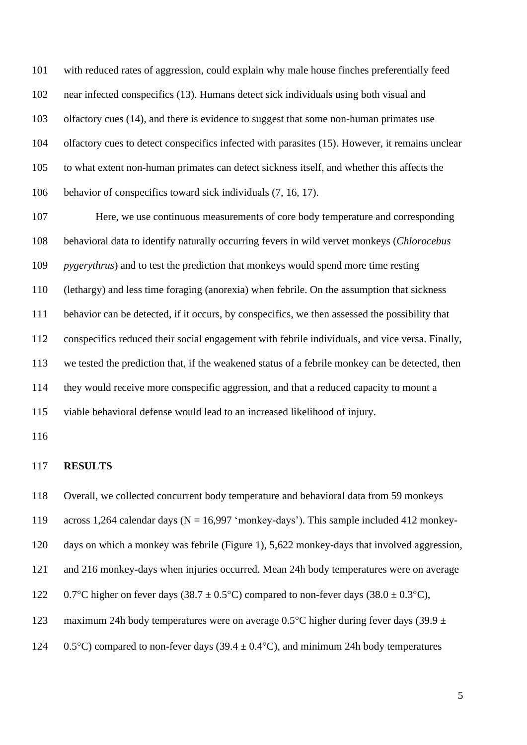with reduced rates of aggression, could explain why male house finches preferentially feed near infected conspecifics (13). Humans detect sick individuals using both visual and olfactory cues (14), and there is evidence to suggest that some non-human primates use olfactory cues to detect conspecifics infected with parasites (15). However, it remains unclear to what extent non-human primates can detect sickness itself, and whether this affects the behavior of conspecifics toward sick individuals (7, 16, 17).

 Here, we use continuous measurements of core body temperature and corresponding behavioral data to identify naturally occurring fevers in wild vervet monkeys (*Chlorocebus pygerythrus*) and to test the prediction that monkeys would spend more time resting (lethargy) and less time foraging (anorexia) when febrile. On the assumption that sickness behavior can be detected, if it occurs, by conspecifics, we then assessed the possibility that conspecifics reduced their social engagement with febrile individuals, and vice versa. Finally, we tested the prediction that, if the weakened status of a febrile monkey can be detected, then they would receive more conspecific aggression, and that a reduced capacity to mount a viable behavioral defense would lead to an increased likelihood of injury.

### **RESULTS**

Overall, we collected concurrent body temperature and behavioral data from 59 monkeys

across 1,264 calendar days (N = 16,997 'monkey-days'). This sample included 412 monkey-

days on which a monkey was febrile (Figure 1), 5,622 monkey-days that involved aggression,

and 216 monkey-days when injuries occurred. Mean 24h body temperatures were on average

122 0.7°C higher on fever days (38.7  $\pm$  0.5°C) compared to non-fever days (38.0  $\pm$  0.3°C),

123 maximum 24h body temperatures were on average 0.5°C higher during fever days (39.9  $\pm$ 

124 0.5<sup>o</sup>C) compared to non-fever days (39.4  $\pm$  0.4<sup>o</sup>C), and minimum 24h body temperatures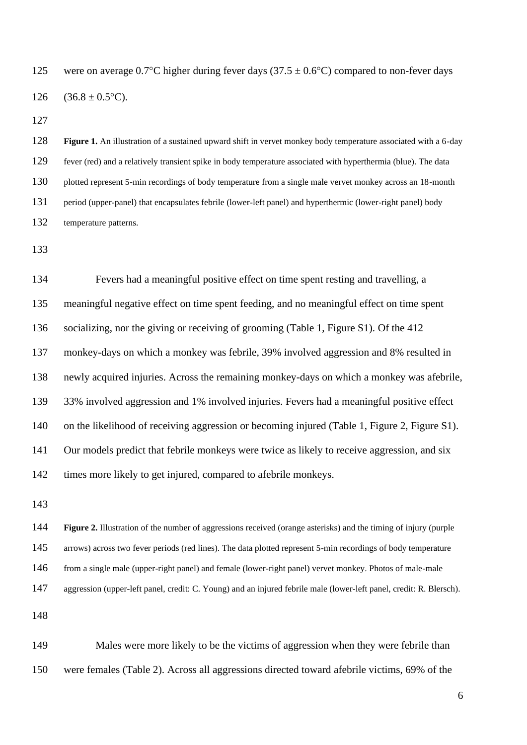125 were on average 0.7°C higher during fever days (37.5  $\pm$  0.6°C) compared to non-fever days 126  $(36.8 \pm 0.5^{\circ}C)$ .

 **Figure 1.** An illustration of a sustained upward shift in vervet monkey body temperature associated with a 6-day fever (red) and a relatively transient spike in body temperature associated with hyperthermia (blue). The data plotted represent 5-min recordings of body temperature from a single male vervet monkey across an 18-month period (upper-panel) that encapsulates febrile (lower-left panel) and hyperthermic (lower-right panel) body temperature patterns.

 Fevers had a meaningful positive effect on time spent resting and travelling, a meaningful negative effect on time spent feeding, and no meaningful effect on time spent socializing, nor the giving or receiving of grooming (Table 1, Figure S1). Of the 412 monkey-days on which a monkey was febrile, 39% involved aggression and 8% resulted in newly acquired injuries. Across the remaining monkey-days on which a monkey was afebrile, 33% involved aggression and 1% involved injuries. Fevers had a meaningful positive effect on the likelihood of receiving aggression or becoming injured (Table 1, Figure 2, Figure S1). Our models predict that febrile monkeys were twice as likely to receive aggression, and six times more likely to get injured, compared to afebrile monkeys.

 **Figure 2.** Illustration of the number of aggressions received (orange asterisks) and the timing of injury (purple 145 arrows) across two fever periods (red lines). The data plotted represent 5-min recordings of body temperature from a single male (upper-right panel) and female (lower-right panel) vervet monkey. Photos of male-male aggression (upper-left panel, credit: C. Young) and an injured febrile male (lower-left panel, credit: R. Blersch).

 Males were more likely to be the victims of aggression when they were febrile than were females (Table 2). Across all aggressions directed toward afebrile victims, 69% of the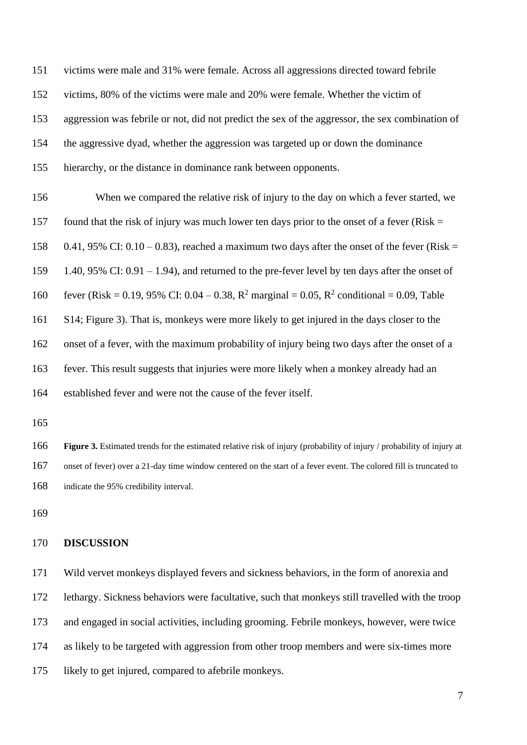victims were male and 31% were female. Across all aggressions directed toward febrile victims, 80% of the victims were male and 20% were female. Whether the victim of aggression was febrile or not, did not predict the sex of the aggressor, the sex combination of the aggressive dyad, whether the aggression was targeted up or down the dominance hierarchy, or the distance in dominance rank between opponents.

 When we compared the relative risk of injury to the day on which a fever started, we 157 found that the risk of injury was much lower ten days prior to the onset of a fever (Risk  $=$ 158 0.41, 95% CI:  $0.10 - 0.83$ ), reached a maximum two days after the onset of the fever (Risk = 1.40, 95% CI: 0.91 – 1.94), and returned to the pre-fever level by ten days after the onset of 160 fever (Risk = 0.19, 95% CI: 0.04 – 0.38,  $R^2$  marginal = 0.05,  $R^2$  conditional = 0.09, Table S14; Figure 3). That is, monkeys were more likely to get injured in the days closer to the onset of a fever, with the maximum probability of injury being two days after the onset of a fever. This result suggests that injuries were more likely when a monkey already had an established fever and were not the cause of the fever itself.

 **Figure 3.** Estimated trends for the estimated relative risk of injury (probability of injury / probability of injury at onset of fever) over a 21-day time window centered on the start of a fever event. The colored fill is truncated to indicate the 95% credibility interval.

### **DISCUSSION**

 Wild vervet monkeys displayed fevers and sickness behaviors, in the form of anorexia and lethargy. Sickness behaviors were facultative, such that monkeys still travelled with the troop and engaged in social activities, including grooming. Febrile monkeys, however, were twice as likely to be targeted with aggression from other troop members and were six-times more likely to get injured, compared to afebrile monkeys.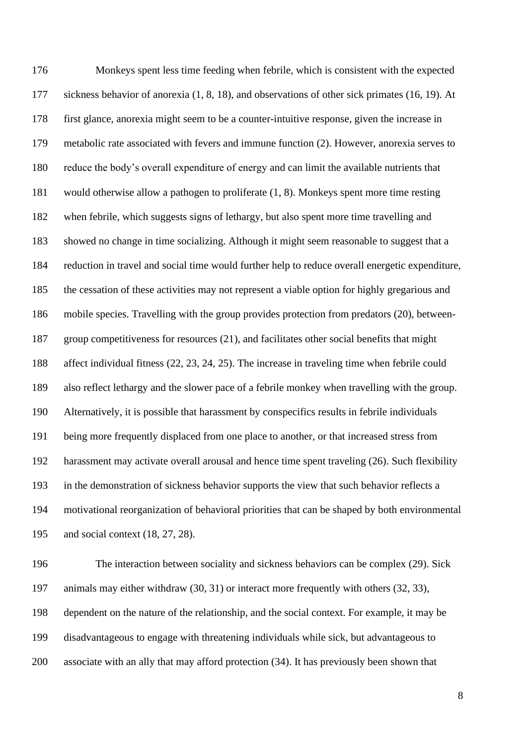Monkeys spent less time feeding when febrile, which is consistent with the expected sickness behavior of anorexia (1, 8, 18), and observations of other sick primates (16, 19). At first glance, anorexia might seem to be a counter-intuitive response, given the increase in metabolic rate associated with fevers and immune function (2). However, anorexia serves to reduce the body's overall expenditure of energy and can limit the available nutrients that would otherwise allow a pathogen to proliferate (1, 8). Monkeys spent more time resting when febrile, which suggests signs of lethargy, but also spent more time travelling and showed no change in time socializing. Although it might seem reasonable to suggest that a reduction in travel and social time would further help to reduce overall energetic expenditure, the cessation of these activities may not represent a viable option for highly gregarious and mobile species. Travelling with the group provides protection from predators (20), between- group competitiveness for resources (21), and facilitates other social benefits that might affect individual fitness (22, 23, 24, 25). The increase in traveling time when febrile could also reflect lethargy and the slower pace of a febrile monkey when travelling with the group. Alternatively, it is possible that harassment by conspecifics results in febrile individuals being more frequently displaced from one place to another, or that increased stress from harassment may activate overall arousal and hence time spent traveling (26). Such flexibility in the demonstration of sickness behavior supports the view that such behavior reflects a motivational reorganization of behavioral priorities that can be shaped by both environmental and social context (18, 27, 28).

 The interaction between sociality and sickness behaviors can be complex (29). Sick animals may either withdraw (30, 31) or interact more frequently with others (32, 33), dependent on the nature of the relationship, and the social context. For example, it may be disadvantageous to engage with threatening individuals while sick, but advantageous to associate with an ally that may afford protection (34). It has previously been shown that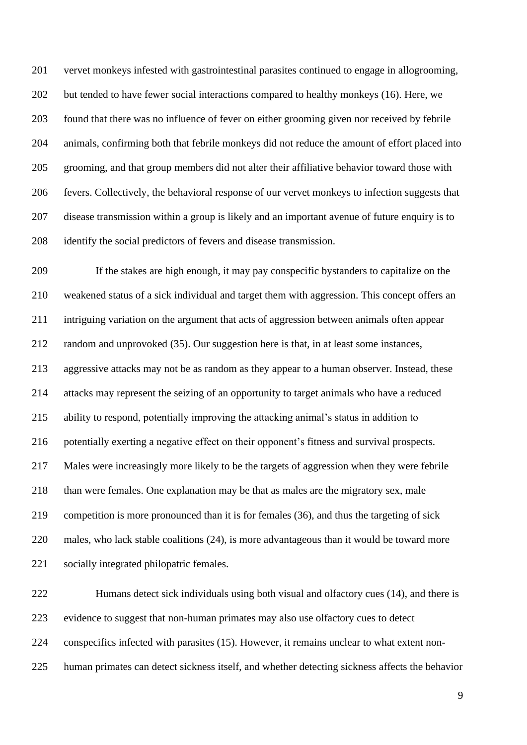vervet monkeys infested with gastrointestinal parasites continued to engage in allogrooming, 202 but tended to have fewer social interactions compared to healthy monkeys (16). Here, we found that there was no influence of fever on either grooming given nor received by febrile animals, confirming both that febrile monkeys did not reduce the amount of effort placed into grooming, and that group members did not alter their affiliative behavior toward those with fevers. Collectively, the behavioral response of our vervet monkeys to infection suggests that disease transmission within a group is likely and an important avenue of future enquiry is to identify the social predictors of fevers and disease transmission.

 If the stakes are high enough, it may pay conspecific bystanders to capitalize on the weakened status of a sick individual and target them with aggression. This concept offers an intriguing variation on the argument that acts of aggression between animals often appear random and unprovoked (35). Our suggestion here is that, in at least some instances, aggressive attacks may not be as random as they appear to a human observer. Instead, these attacks may represent the seizing of an opportunity to target animals who have a reduced ability to respond, potentially improving the attacking animal's status in addition to potentially exerting a negative effect on their opponent's fitness and survival prospects. Males were increasingly more likely to be the targets of aggression when they were febrile than were females. One explanation may be that as males are the migratory sex, male competition is more pronounced than it is for females (36), and thus the targeting of sick males, who lack stable coalitions (24), is more advantageous than it would be toward more socially integrated philopatric females.

 Humans detect sick individuals using both visual and olfactory cues (14), and there is evidence to suggest that non-human primates may also use olfactory cues to detect conspecifics infected with parasites (15). However, it remains unclear to what extent non-human primates can detect sickness itself, and whether detecting sickness affects the behavior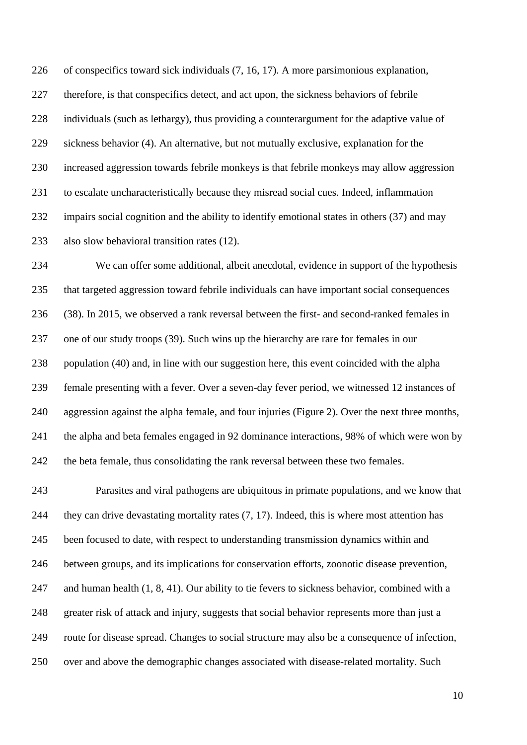of conspecifics toward sick individuals (7, 16, 17). A more parsimonious explanation, therefore, is that conspecifics detect, and act upon, the sickness behaviors of febrile individuals (such as lethargy), thus providing a counterargument for the adaptive value of sickness behavior (4). An alternative, but not mutually exclusive, explanation for the increased aggression towards febrile monkeys is that febrile monkeys may allow aggression to escalate uncharacteristically because they misread social cues. Indeed, inflammation impairs social cognition and the ability to identify emotional states in others (37) and may also slow behavioral transition rates (12).

 We can offer some additional, albeit anecdotal, evidence in support of the hypothesis that targeted aggression toward febrile individuals can have important social consequences (38). In 2015, we observed a rank reversal between the first- and second-ranked females in one of our study troops (39). Such wins up the hierarchy are rare for females in our population (40) and, in line with our suggestion here, this event coincided with the alpha female presenting with a fever. Over a seven-day fever period, we witnessed 12 instances of aggression against the alpha female, and four injuries (Figure 2). Over the next three months, the alpha and beta females engaged in 92 dominance interactions, 98% of which were won by the beta female, thus consolidating the rank reversal between these two females.

 Parasites and viral pathogens are ubiquitous in primate populations, and we know that they can drive devastating mortality rates (7, 17). Indeed, this is where most attention has been focused to date, with respect to understanding transmission dynamics within and between groups, and its implications for conservation efforts, zoonotic disease prevention, and human health (1, 8, 41). Our ability to tie fevers to sickness behavior, combined with a greater risk of attack and injury, suggests that social behavior represents more than just a route for disease spread. Changes to social structure may also be a consequence of infection, over and above the demographic changes associated with disease-related mortality. Such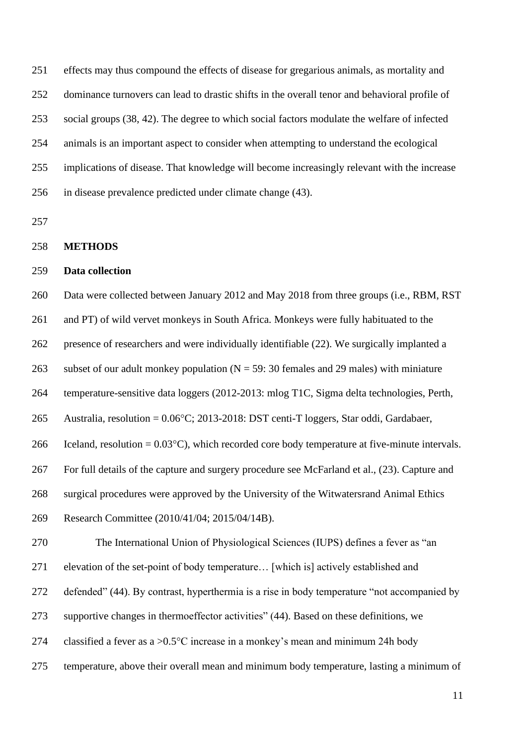effects may thus compound the effects of disease for gregarious animals, as mortality and dominance turnovers can lead to drastic shifts in the overall tenor and behavioral profile of social groups (38, 42). The degree to which social factors modulate the welfare of infected animals is an important aspect to consider when attempting to understand the ecological implications of disease. That knowledge will become increasingly relevant with the increase in disease prevalence predicted under climate change (43).

# **METHODS**

## **Data collection**

 Data were collected between January 2012 and May 2018 from three groups (i.e., RBM, RST and PT) of wild vervet monkeys in South Africa. Monkeys were fully habituated to the presence of researchers and were individually identifiable (22). We surgically implanted a 263 subset of our adult monkey population ( $N = 59$ : 30 females and 29 males) with miniature temperature-sensitive data loggers (2012-2013: mlog T1C, Sigma delta technologies, Perth, 265 Australia, resolution =  $0.06^{\circ}$ C; 2013-2018: DST centi-T loggers, Star oddi, Gardabaer, 266 Iceland, resolution =  $0.03^{\circ}$ C), which recorded core body temperature at five-minute intervals. For full details of the capture and surgery procedure see McFarland et al., (23). Capture and surgical procedures were approved by the University of the Witwatersrand Animal Ethics

Research Committee (2010/41/04; 2015/04/14B).

The International Union of Physiological Sciences (IUPS) defines a fever as "an

elevation of the set-point of body temperature… [which is] actively established and

272 defended" (44). By contrast, hyperthermia is a rise in body temperature "not accompanied by

supportive changes in thermoeffector activities" (44). Based on these definitions, we

- 274 classified a fever as a  $>0.5^{\circ}$ C increase in a monkey's mean and minimum 24h body
- temperature, above their overall mean and minimum body temperature, lasting a minimum of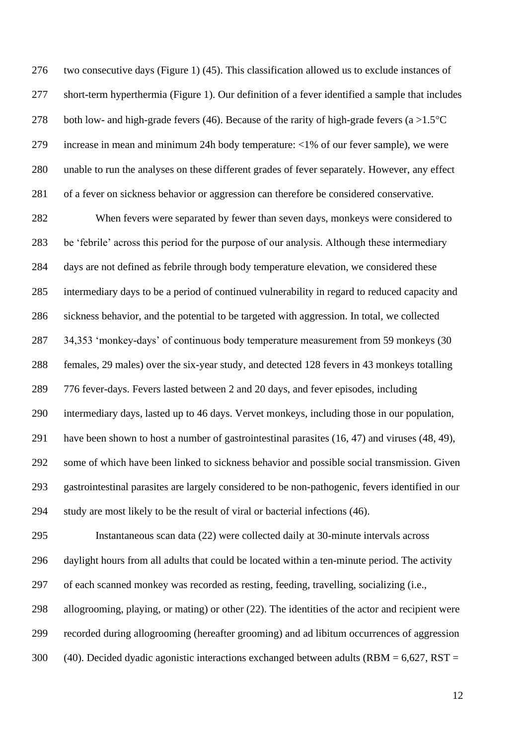two consecutive days (Figure 1) (45). This classification allowed us to exclude instances of short-term hyperthermia (Figure 1). Our definition of a fever identified a sample that includes 278 both low- and high-grade fevers (46). Because of the rarity of high-grade fevers (a  $>1.5^{\circ}C$  increase in mean and minimum 24h body temperature: <1% of our fever sample), we were unable to run the analyses on these different grades of fever separately. However, any effect of a fever on sickness behavior or aggression can therefore be considered conservative.

 When fevers were separated by fewer than seven days, monkeys were considered to be 'febrile' across this period for the purpose of our analysis. Although these intermediary days are not defined as febrile through body temperature elevation, we considered these intermediary days to be a period of continued vulnerability in regard to reduced capacity and sickness behavior, and the potential to be targeted with aggression. In total, we collected 34,353 'monkey-days' of continuous body temperature measurement from 59 monkeys (30 females, 29 males) over the six-year study, and detected 128 fevers in 43 monkeys totalling 776 fever-days. Fevers lasted between 2 and 20 days, and fever episodes, including intermediary days, lasted up to 46 days. Vervet monkeys, including those in our population, have been shown to host a number of gastrointestinal parasites (16, 47) and viruses (48, 49), some of which have been linked to sickness behavior and possible social transmission. Given gastrointestinal parasites are largely considered to be non-pathogenic, fevers identified in our study are most likely to be the result of viral or bacterial infections (46).

 Instantaneous scan data (22) were collected daily at 30-minute intervals across daylight hours from all adults that could be located within a ten-minute period. The activity of each scanned monkey was recorded as resting, feeding, travelling, socializing (i.e., allogrooming, playing, or mating) or other (22). The identities of the actor and recipient were recorded during allogrooming (hereafter grooming) and ad libitum occurrences of aggression 300 (40). Decided dyadic agonistic interactions exchanged between adults (RBM  $= 6.627$ , RST  $=$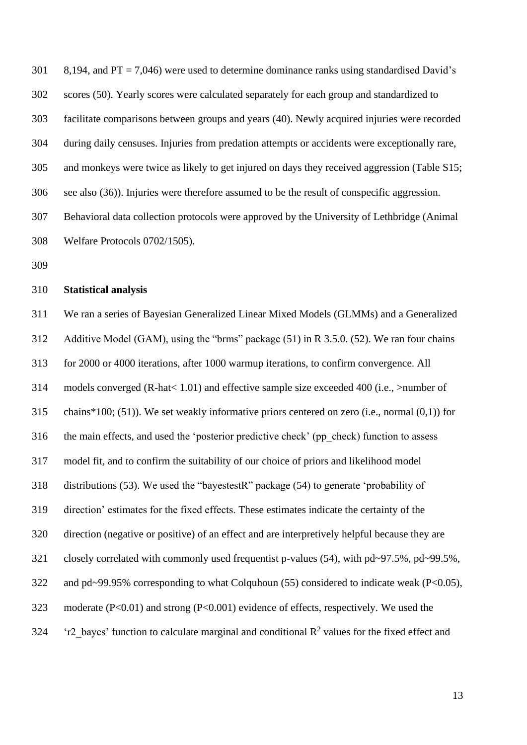301 8,194, and PT = 7,046) were used to determine dominance ranks using standardised David's scores (50). Yearly scores were calculated separately for each group and standardized to facilitate comparisons between groups and years (40). Newly acquired injuries were recorded during daily censuses. Injuries from predation attempts or accidents were exceptionally rare, and monkeys were twice as likely to get injured on days they received aggression (Table S15; see also (36)). Injuries were therefore assumed to be the result of conspecific aggression. Behavioral data collection protocols were approved by the University of Lethbridge (Animal Welfare Protocols 0702/1505).

#### **Statistical analysis**

 We ran a series of Bayesian Generalized Linear Mixed Models (GLMMs) and a Generalized Additive Model (GAM), using the "brms" package (51) in R 3.5.0. (52). We ran four chains for 2000 or 4000 iterations, after 1000 warmup iterations, to confirm convergence. All models converged (R-hat< 1.01) and effective sample size exceeded 400 (i.e., >number of chains\*100; (51)). We set weakly informative priors centered on zero (i.e., normal (0,1)) for the main effects, and used the 'posterior predictive check' (pp\_check) function to assess model fit, and to confirm the suitability of our choice of priors and likelihood model distributions (53). We used the "bayestestR" package (54) to generate 'probability of direction' estimates for the fixed effects. These estimates indicate the certainty of the direction (negative or positive) of an effect and are interpretively helpful because they are closely correlated with commonly used frequentist p-values (54), with pd~97.5%, pd~99.5%, 322 and pd~99.95% corresponding to what Colquhoun (55) considered to indicate weak (P<0.05), moderate (P<0.01) and strong (P<0.001) evidence of effects, respectively. We used the  $\cdot$  'r2 bayes' function to calculate marginal and conditional R<sup>2</sup> values for the fixed effect and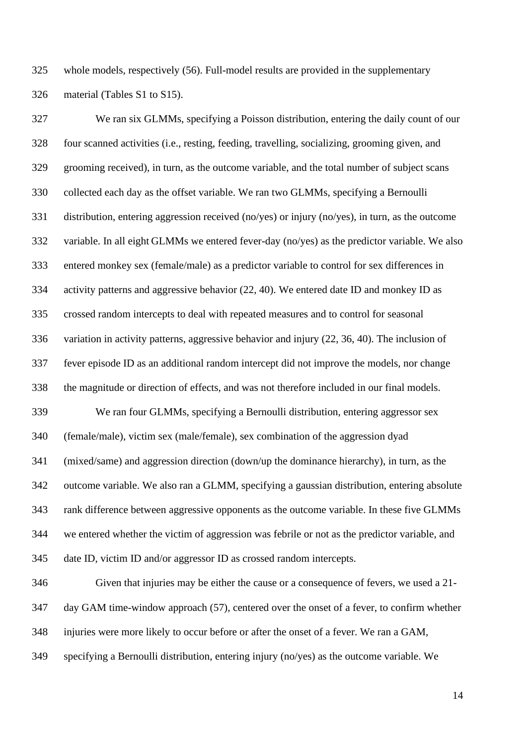whole models, respectively (56). Full-model results are provided in the supplementary material (Tables S1 to S15).

 We ran six GLMMs, specifying a Poisson distribution, entering the daily count of our four scanned activities (i.e., resting, feeding, travelling, socializing, grooming given, and grooming received), in turn, as the outcome variable, and the total number of subject scans collected each day as the offset variable. We ran two GLMMs, specifying a Bernoulli distribution, entering aggression received (no/yes) or injury (no/yes), in turn, as the outcome variable. In all eight GLMMs we entered fever-day (no/yes) as the predictor variable. We also entered monkey sex (female/male) as a predictor variable to control for sex differences in activity patterns and aggressive behavior (22, 40). We entered date ID and monkey ID as crossed random intercepts to deal with repeated measures and to control for seasonal variation in activity patterns, aggressive behavior and injury (22, 36, 40). The inclusion of fever episode ID as an additional random intercept did not improve the models, nor change the magnitude or direction of effects, and was not therefore included in our final models. We ran four GLMMs, specifying a Bernoulli distribution, entering aggressor sex (female/male), victim sex (male/female), sex combination of the aggression dyad (mixed/same) and aggression direction (down/up the dominance hierarchy), in turn, as the outcome variable. We also ran a GLMM, specifying a gaussian distribution, entering absolute rank difference between aggressive opponents as the outcome variable. In these five GLMMs we entered whether the victim of aggression was febrile or not as the predictor variable, and date ID, victim ID and/or aggressor ID as crossed random intercepts. Given that injuries may be either the cause or a consequence of fevers, we used a 21-

injuries were more likely to occur before or after the onset of a fever. We ran a GAM,

day GAM time-window approach (57), centered over the onset of a fever, to confirm whether

specifying a Bernoulli distribution, entering injury (no/yes) as the outcome variable. We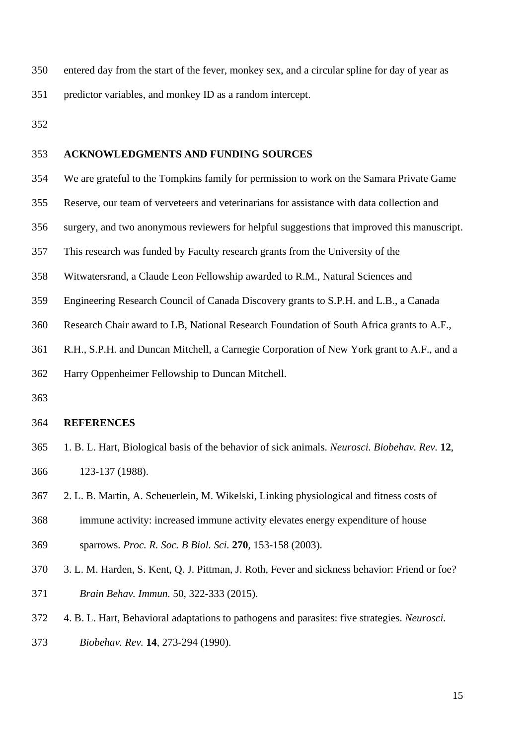entered day from the start of the fever, monkey sex, and a circular spline for day of year as predictor variables, and monkey ID as a random intercept.

# **ACKNOWLEDGMENTS AND FUNDING SOURCES**

- We are grateful to the Tompkins family for permission to work on the Samara Private Game
- Reserve, our team of verveteers and veterinarians for assistance with data collection and
- surgery, and two anonymous reviewers for helpful suggestions that improved this manuscript.
- This research was funded by Faculty research grants from the University of the
- Witwatersrand, a Claude Leon Fellowship awarded to R.M., Natural Sciences and
- Engineering Research Council of Canada Discovery grants to S.P.H. and L.B., a Canada
- Research Chair award to LB, National Research Foundation of South Africa grants to A.F.,
- R.H., S.P.H. and Duncan Mitchell, a Carnegie Corporation of New York grant to A.F., and a

Harry Oppenheimer Fellowship to Duncan Mitchell.

### **REFERENCES**

- 1. B. L. Hart, Biological basis of the behavior of sick animals. *Neurosci. Biobehav. Rev.* **12**, 123-137 (1988).
- 2. L. B. Martin, A. Scheuerlein, M. Wikelski, Linking physiological and fitness costs of
- immune activity: increased immune activity elevates energy expenditure of house

sparrows. *Proc. R. Soc. B Biol. Sci.* **270**, 153-158 (2003).

- 3. L. M. Harden, S. Kent, Q. J. Pittman, J. Roth, Fever and sickness behavior: Friend or foe? *Brain Behav. Immun.* 50, 322-333 (2015).
- 4. B. L. Hart, Behavioral adaptations to pathogens and parasites: five strategies. *Neurosci.*
- *Biobehav. Rev.* **14**, 273-294 (1990).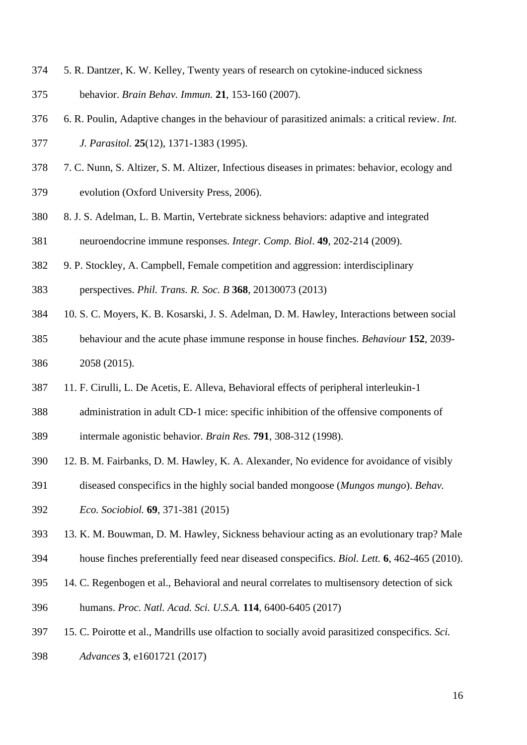- 5. R. Dantzer, K. W. Kelley, Twenty years of research on cytokine-induced sickness
- behavior. *Brain Behav. Immun.* **21**, 153-160 (2007).
- 6. R. Poulin, Adaptive changes in the behaviour of parasitized animals: a critical review. *Int.*
- *J. Parasitol.* **25**(12), 1371-1383 (1995).
- 7. C. Nunn, S. Altizer, S. M. Altizer, Infectious diseases in primates: behavior, ecology and evolution (Oxford University Press, 2006).
- 8. J. S. Adelman, L. B. Martin, Vertebrate sickness behaviors: adaptive and integrated neuroendocrine immune responses. *Integr. Comp. Biol*. **49**, 202-214 (2009).
- 9. P. Stockley, A. Campbell, Female competition and aggression: interdisciplinary
- perspectives. *Phil. Trans. R. Soc. B* **368**, 20130073 (2013)
- 10. S. C. Moyers, K. B. Kosarski, J. S. Adelman, D. M. Hawley, Interactions between social
- behaviour and the acute phase immune response in house finches. *Behaviour* **152**, 2039- 2058 (2015).
- 11. F. Cirulli, L. De Acetis, E. Alleva, Behavioral effects of peripheral interleukin-1
- administration in adult CD-1 mice: specific inhibition of the offensive components of
- intermale agonistic behavior. *Brain Res.* **791**, 308-312 (1998).
- 12. B. M. Fairbanks, D. M. Hawley, K. A. Alexander, No evidence for avoidance of visibly
- diseased conspecifics in the highly social banded mongoose (*Mungos mungo*). *Behav.*
- *Eco. Sociobiol.* **69**, 371-381 (2015)
- 13. K. M. Bouwman, D. M. Hawley, Sickness behaviour acting as an evolutionary trap? Male
- house finches preferentially feed near diseased conspecifics. *Biol. Lett.* **6**, 462-465 (2010).
- 14. C. Regenbogen et al., Behavioral and neural correlates to multisensory detection of sick
- humans. *Proc. Natl. Acad. Sci. U.S.A.* **114**, 6400-6405 (2017)
- 15. C. Poirotte et al., Mandrills use olfaction to socially avoid parasitized conspecifics. *Sci.*
- *Advances* **3**, e1601721 (2017)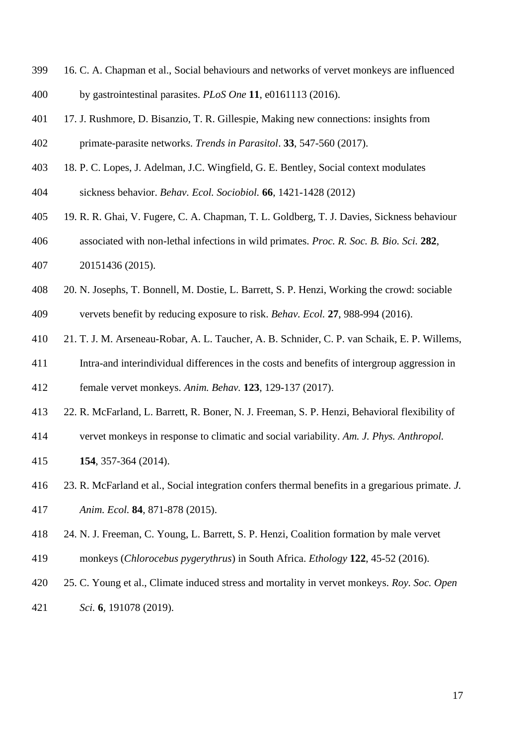- 16. C. A. Chapman et al., Social behaviours and networks of vervet monkeys are influenced by gastrointestinal parasites. *PLoS One* **11**, e0161113 (2016).
- 17. J. Rushmore, D. Bisanzio, T. R. Gillespie, Making new connections: insights from primate-parasite networks. *Trends in Parasitol*. **33**, 547-560 (2017).
- 18. P. C. Lopes, J. Adelman, J.C. Wingfield, G. E. Bentley, Social context modulates sickness behavior. *Behav. Ecol. Sociobiol.* **66**, 1421-1428 (2012)
- 19. R. R. Ghai, V. Fugere, C. A. Chapman, T. L. Goldberg, T. J. Davies, Sickness behaviour associated with non-lethal infections in wild primates. *Proc. R. Soc. B. Bio. Sci.* **282**,
- 20151436 (2015).
- 20. N. Josephs, T. Bonnell, M. Dostie, L. Barrett, S. P. Henzi, Working the crowd: sociable vervets benefit by reducing exposure to risk. *Behav. Ecol.* **27**, 988-994 (2016).
- 21. T. J. M. Arseneau-Robar, A. L. Taucher, A. B. Schnider, C. P. van Schaik, E. P. Willems,
- Intra-and interindividual differences in the costs and benefits of intergroup aggression in

female vervet monkeys. *Anim. Behav.* **123**, 129-137 (2017).

- 22. R. McFarland, L. Barrett, R. Boner, N. J. Freeman, S. P. Henzi, Behavioral flexibility of
- vervet monkeys in response to climatic and social variability. *Am. J. Phys. Anthropol.*
- **154**, 357-364 (2014).
- 23. R. McFarland et al., Social integration confers thermal benefits in a gregarious primate. *J. Anim. Ecol.* **84**, 871-878 (2015).
- 24. N. J. Freeman, C. Young, L. Barrett, S. P. Henzi, Coalition formation by male vervet
- monkeys (*Chlorocebus pygerythrus*) in South Africa. *Ethology* **122**, 45-52 (2016).
- 25. C. Young et al., Climate induced stress and mortality in vervet monkeys. *Roy. Soc. Open Sci.* **6**, 191078 (2019).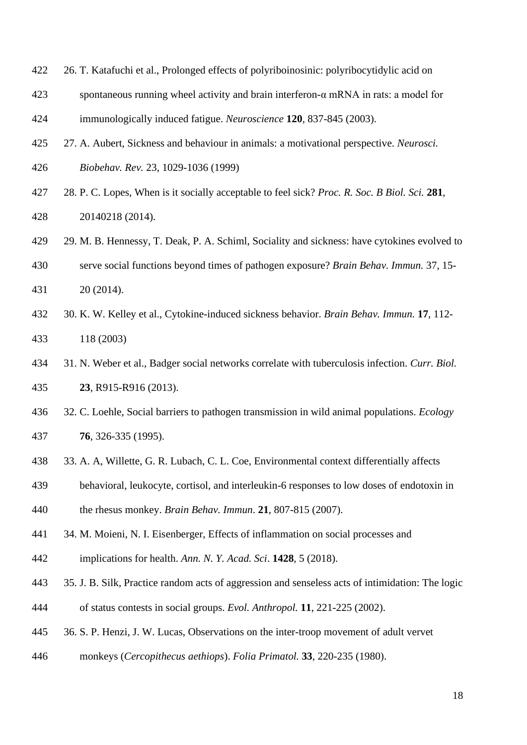- 26. T. Katafuchi et al., Prolonged effects of polyriboinosinic: polyribocytidylic acid on
- spontaneous running wheel activity and brain interferon-α mRNA in rats: a model for
- immunologically induced fatigue. *Neuroscience* **120**, 837-845 (2003).
- 27. A. Aubert, Sickness and behaviour in animals: a motivational perspective. *Neurosci.*
- *Biobehav. Rev.* 23, 1029-1036 (1999)
- 28. P. C. Lopes, When is it socially acceptable to feel sick? *Proc. R. Soc. B Biol. Sci.* **281**, 20140218 (2014).
- 29. M. B. Hennessy, T. Deak, P. A. Schiml, Sociality and sickness: have cytokines evolved to
- serve social functions beyond times of pathogen exposure? *Brain Behav. Immun.* 37, 15- 20 (2014).
- 30. K. W. Kelley et al., Cytokine-induced sickness behavior. *Brain Behav. Immun.* **17**, 112- 118 (2003)
- 31. N. Weber et al., Badger social networks correlate with tuberculosis infection. *Curr. Biol.* **23**, R915-R916 (2013).
- 32. C. Loehle, Social barriers to pathogen transmission in wild animal populations. *Ecology* **76**, 326-335 (1995).
- 33. A. A, Willette, G. R. Lubach, C. L. Coe, Environmental context differentially affects
- behavioral, leukocyte, cortisol, and interleukin-6 responses to low doses of endotoxin in
- the rhesus monkey. *Brain Behav. Immun*. **21**, 807-815 (2007).
- 34. M. Moieni, N. I. Eisenberger, Effects of inflammation on social processes and
- implications for health. *Ann. N. Y. Acad. Sci*. **1428**, 5 (2018).
- 35. J. B. Silk, Practice random acts of aggression and senseless acts of intimidation: The logic of status contests in social groups. *Evol. Anthropol.* **11**, 221-225 (2002).
- 36. S. P. Henzi, J. W. Lucas, Observations on the inter-troop movement of adult vervet
- monkeys (*Cercopithecus aethiops*). *Folia Primatol.* **33**, 220-235 (1980).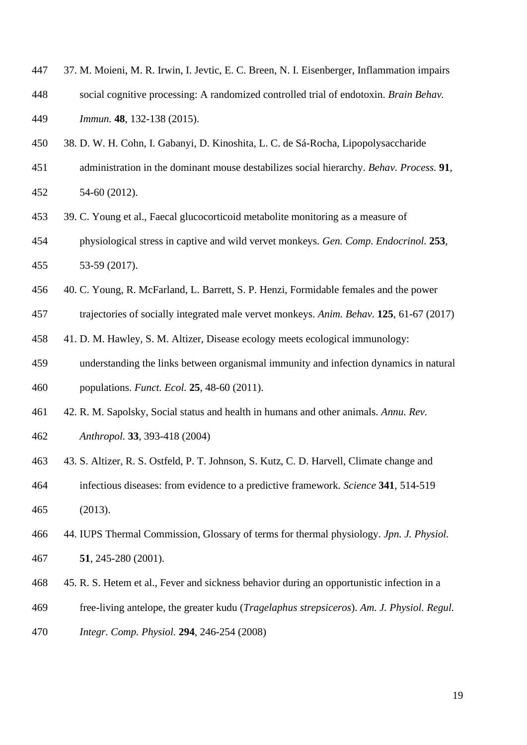- 37. M. Moieni, M. R. Irwin, I. Jevtic, E. C. Breen, N. I. Eisenberger, Inflammation impairs social cognitive processing: A randomized controlled trial of endotoxin. *Brain Behav. Immun.* **48**, 132-138 (2015).
- 38. D. W. H. Cohn, I. Gabanyi, D. Kinoshita, L. C. de Sá-Rocha, Lipopolysaccharide
- administration in the dominant mouse destabilizes social hierarchy. *Behav. Process.* **91**, 54-60 (2012).
- 
- 39. C. Young et al., Faecal glucocorticoid metabolite monitoring as a measure of
- physiological stress in captive and wild vervet monkeys. *Gen. Comp. Endocrinol.* **253**, 53-59 (2017).
- 
- 40. C. Young, R. McFarland, L. Barrett, S. P. Henzi, Formidable females and the power
- trajectories of socially integrated male vervet monkeys. *Anim. Behav.* **125**, 61-67 (2017)
- 41. D. M. Hawley, S. M. Altizer, Disease ecology meets ecological immunology:
- understanding the links between organismal immunity and infection dynamics in natural
- populations. *Funct. Ecol.* **25**, 48-60 (2011).
- 42. R. M. Sapolsky, Social status and health in humans and other animals. *Annu. Rev.*
- *Anthropol.* **33**, 393-418 (2004)
- 43. S. Altizer, R. S. Ostfeld, P. T. Johnson, S. Kutz, C. D. Harvell, Climate change and
- infectious diseases: from evidence to a predictive framework. *Science* **341**, 514-519
- (2013).
- 44. IUPS Thermal Commission, Glossary of terms for thermal physiology. *Jpn. J. Physiol.* **51**, 245-280 (2001).
- 45. R. S. Hetem et al., Fever and sickness behavior during an opportunistic infection in a
- free-living antelope, the greater kudu (*Tragelaphus strepsiceros*). *Am. J. Physiol. Regul.*
- *Integr. Comp. Physiol.* **294**, 246-254 (2008)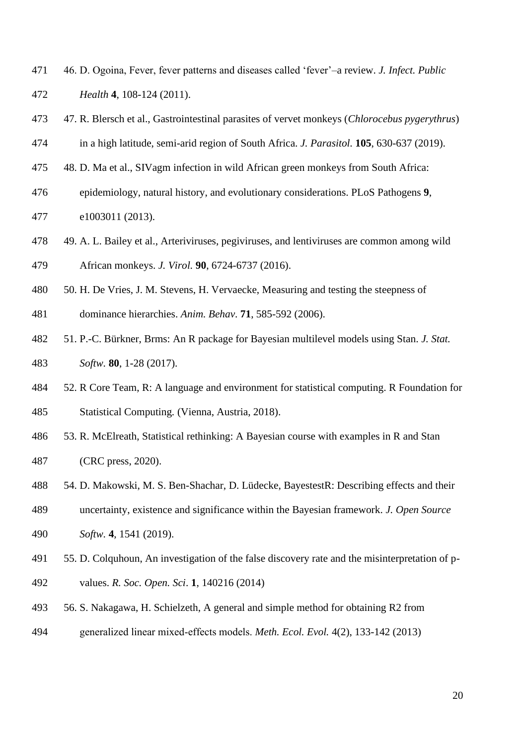- 46. D. Ogoina, Fever, fever patterns and diseases called 'fever'–a review. *J. Infect. Public Health* **4**, 108-124 (2011).
- 47. R. Blersch et al., Gastrointestinal parasites of vervet monkeys (*Chlorocebus pygerythrus*)
- in a high latitude, semi-arid region of South Africa. *J. Parasitol.* **105**, 630-637 (2019).
- 48. D. Ma et al., SIVagm infection in wild African green monkeys from South Africa:
- epidemiology, natural history, and evolutionary considerations. PLoS Pathogens **9**,

e1003011 (2013).

- 49. A. L. Bailey et al., Arteriviruses, pegiviruses, and lentiviruses are common among wild African monkeys. *J. Virol.* **90**, 6724-6737 (2016).
- 
- 50. H. De Vries, J. M. Stevens, H. Vervaecke, Measuring and testing the steepness of
- dominance hierarchies. *Anim. Behav*. **71**, 585-592 (2006).
- 51. P.-C. Bürkner, Brms: An R package for Bayesian multilevel models using Stan. *J. Stat. Softw.* **80**, 1-28 (2017).
- 52. R Core Team, R: A language and environment for statistical computing. R Foundation for Statistical Computing*.* (Vienna, Austria, 2018).
- 53. R. McElreath, Statistical rethinking: A Bayesian course with examples in R and Stan (CRC press, 2020).
- 54. D. Makowski, M. S. Ben-Shachar, D. Lüdecke, BayestestR: Describing effects and their
- uncertainty, existence and significance within the Bayesian framework. *J. Open Source Softw.* **4**, 1541 (2019).
- 55. D. Colquhoun, An investigation of the false discovery rate and the misinterpretation of p-values. *R. Soc. Open. Sci*. **1**, 140216 (2014)
- 56. S. Nakagawa, H. Schielzeth, A general and simple method for obtaining R2 from
- generalized linear mixed‐effects models. *Meth. Ecol. Evol.* 4(2), 133-142 (2013)